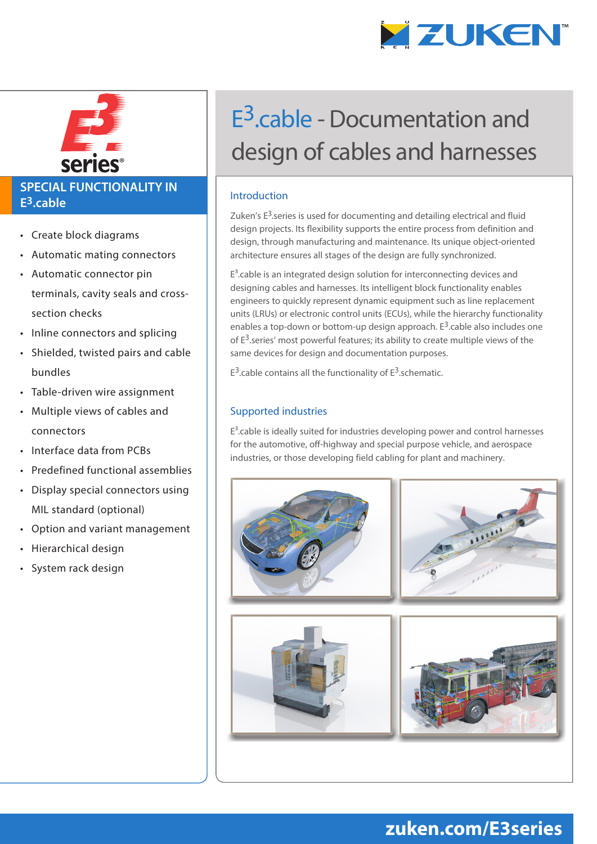

®

### **SPECIAL FUNCTIONALITY IN E3.cable**

- Create block diagrams
- Automatic mating connectors
- Automatic connector pin terminals, cavity seals and crosssection checks
- Inline connectors and splicing
- Shielded, twisted pairs and cable bundles
- Table-driven wire assignment
- Multiple views of cables and connectors
- Interface data from PCBs
- Predefined functional assemblies
- Display special connectors using MIL standard (optional)
- Option and variant management
- Hierarchical design
- System rack design

# E3.cable - Documentation and design of cables and harnesses

#### Introduction

Zuken's  $E<sup>3</sup>$  series is used for documenting and detailing electrical and fluid design projects. Its flexibility supports the entire process from definition and design, through manufacturing and maintenance. Its unique object-oriented architecture ensures all stages of the design are fully synchronized.

 $E<sup>3</sup>$ .cable is an integrated design solution for interconnecting devices and designing cables and harnesses. Its intelligent block functionality enables engineers to quickly represent dynamic equipment such as line replacement units (LRUs) or electronic control units (ECUs), while the hierarchy functionality enables a top-down or bottom-up design approach.  $E^3$  cable also includes one of  $E^3$  series' most powerful features; its ability to create multiple views of the same devices for design and documentation purposes.

 $E^3$  cable contains all the functionality of  $E^3$  schematic.

#### Supported industries

 $E<sup>3</sup>$ .cable is ideally suited for industries developing power and control harnesses for the automotive, off-highway and special purpose vehicle, and aerospace industries, or those developing field cabling for plant and machinery.



# **zuken.com/E3series**